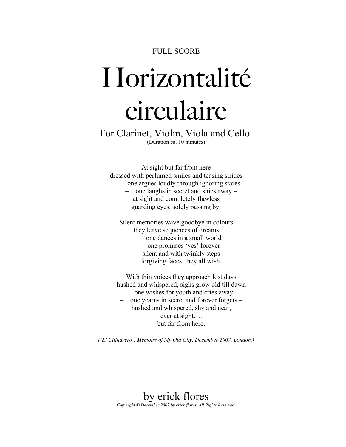## FULL SCORE

## Horizontalité circulaire

For Clarinet, Violin, Viola and Cello. (Duration ca. 10 minutes)

At sight but far from here dressed with perfumed smiles and teasing strides – one argues loudly through ignoring stares –

– one laughs in secret and shies away – at sight and completely flawless guarding eyes, solely passing by.

Silent memories wave goodbye in colours they leave sequences of dreams

- one dances in a small world –
- one promises 'yes' forever silent and with twinkly steps forgiving faces, they all wish.

With thin voices they approach lost days hushed and whispered, sighs grow old till dawn

- one wishes for youth and cries away –
- one yearns in secret and forever forgets hushed and whispered, shy and near, ever at sight…. but far from here.

*('El Cilindrero', Memoirs of My Old City, December 2007, London,)*

## by erick flores *Copyright © December 2007 by erick flores. All Rights Reserved.*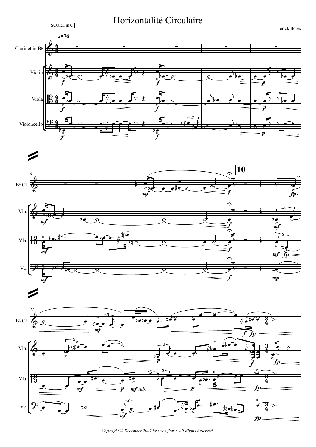





Copyright © December 2007 by erick flores. All Rights Reserved.